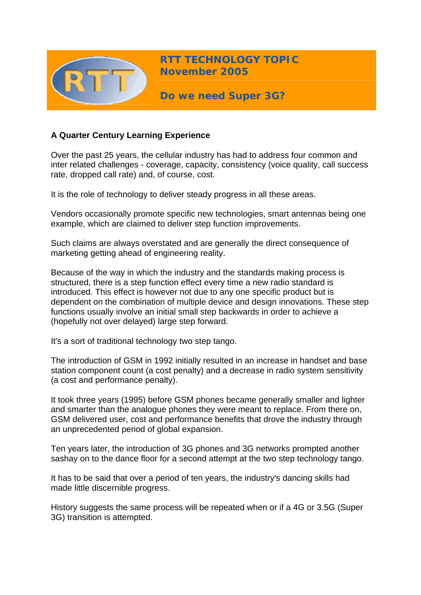

**RTT TECHNOLOGY TOPIC November 2005**

**Do we need Super 3G?** 

# **A Quarter Century Learning Experience**

Over the past 25 years, the cellular industry has had to address four common and inter related challenges - coverage, capacity, consistency (voice quality, call success rate, dropped call rate) and, of course, cost.

It is the role of technology to deliver steady progress in all these areas.

Vendors occasionally promote specific new technologies, smart antennas being one example, which are claimed to deliver step function improvements.

Such claims are always overstated and are generally the direct consequence of marketing getting ahead of engineering reality.

Because of the way in which the industry and the standards making process is structured, there is a step function effect every time a new radio standard is introduced. This effect is however not due to any one specific product but is dependent on the combination of multiple device and design innovations. These step functions usually involve an initial small step backwards in order to achieve a (hopefully not over delayed) large step forward.

It's a sort of traditional technology two step tango.

The introduction of GSM in 1992 initially resulted in an increase in handset and base station component count (a cost penalty) and a decrease in radio system sensitivity (a cost and performance penalty).

It took three years (1995) before GSM phones became generally smaller and lighter and smarter than the analogue phones they were meant to replace. From there on, GSM delivered user, cost and performance benefits that drove the industry through an unprecedented period of global expansion.

Ten years later, the introduction of 3G phones and 3G networks prompted another sashay on to the dance floor for a second attempt at the two step technology tango.

It has to be said that over a period of ten years, the industry's dancing skills had made little discernible progress.

History suggests the same process will be repeated when or if a 4G or 3.5G (Super 3G) transition is attempted.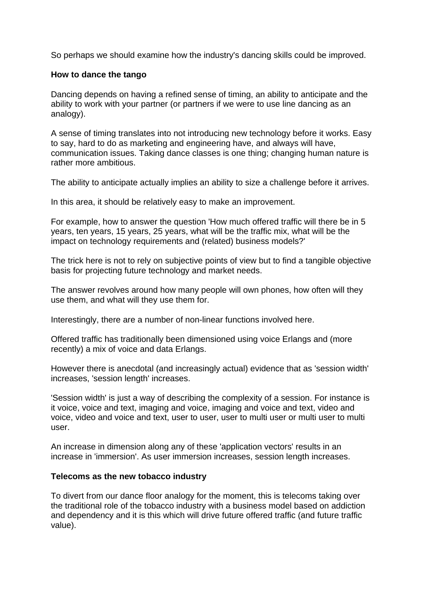So perhaps we should examine how the industry's dancing skills could be improved.

### **How to dance the tango**

Dancing depends on having a refined sense of timing, an ability to anticipate and the ability to work with your partner (or partners if we were to use line dancing as an analogy).

A sense of timing translates into not introducing new technology before it works. Easy to say, hard to do as marketing and engineering have, and always will have, communication issues. Taking dance classes is one thing; changing human nature is rather more ambitious.

The ability to anticipate actually implies an ability to size a challenge before it arrives.

In this area, it should be relatively easy to make an improvement.

For example, how to answer the question 'How much offered traffic will there be in 5 years, ten years, 15 years, 25 years, what will be the traffic mix, what will be the impact on technology requirements and (related) business models?'

The trick here is not to rely on subjective points of view but to find a tangible objective basis for projecting future technology and market needs.

The answer revolves around how many people will own phones, how often will they use them, and what will they use them for.

Interestingly, there are a number of non-linear functions involved here.

Offered traffic has traditionally been dimensioned using voice Erlangs and (more recently) a mix of voice and data Erlangs.

However there is anecdotal (and increasingly actual) evidence that as 'session width' increases, 'session length' increases.

'Session width' is just a way of describing the complexity of a session. For instance is it voice, voice and text, imaging and voice, imaging and voice and text, video and voice, video and voice and text, user to user, user to multi user or multi user to multi user.

An increase in dimension along any of these 'application vectors' results in an increase in 'immersion'. As user immersion increases, session length increases.

### **Telecoms as the new tobacco industry**

To divert from our dance floor analogy for the moment, this is telecoms taking over the traditional role of the tobacco industry with a business model based on addiction and dependency and it is this which will drive future offered traffic (and future traffic value).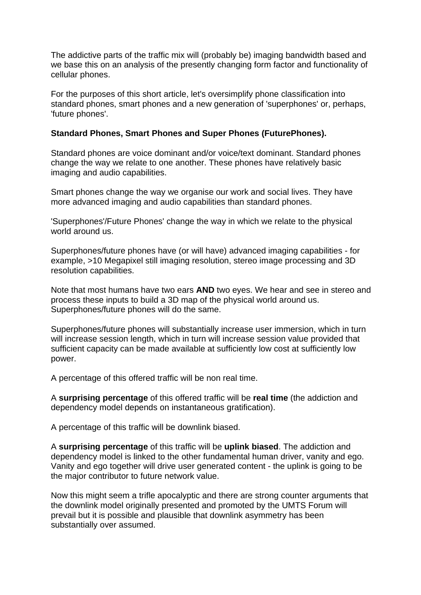The addictive parts of the traffic mix will (probably be) imaging bandwidth based and we base this on an analysis of the presently changing form factor and functionality of cellular phones.

For the purposes of this short article, let's oversimplify phone classification into standard phones, smart phones and a new generation of 'superphones' or, perhaps, 'future phones'.

### **Standard Phones, Smart Phones and Super Phones (FuturePhones).**

Standard phones are voice dominant and/or voice/text dominant. Standard phones change the way we relate to one another. These phones have relatively basic imaging and audio capabilities.

Smart phones change the way we organise our work and social lives. They have more advanced imaging and audio capabilities than standard phones.

'Superphones'/Future Phones' change the way in which we relate to the physical world around us.

Superphones/future phones have (or will have) advanced imaging capabilities - for example, >10 Megapixel still imaging resolution, stereo image processing and 3D resolution capabilities.

Note that most humans have two ears **AND** two eyes. We hear and see in stereo and process these inputs to build a 3D map of the physical world around us. Superphones/future phones will do the same.

Superphones/future phones will substantially increase user immersion, which in turn will increase session length, which in turn will increase session value provided that sufficient capacity can be made available at sufficiently low cost at sufficiently low power.

A percentage of this offered traffic will be non real time.

A **surprising percentage** of this offered traffic will be **real time** (the addiction and dependency model depends on instantaneous gratification).

A percentage of this traffic will be downlink biased.

A **surprising percentage** of this traffic will be **uplink biased**. The addiction and dependency model is linked to the other fundamental human driver, vanity and ego. Vanity and ego together will drive user generated content - the uplink is going to be the major contributor to future network value.

Now this might seem a trifle apocalyptic and there are strong counter arguments that the downlink model originally presented and promoted by the UMTS Forum will prevail but it is possible and plausible that downlink asymmetry has been substantially over assumed.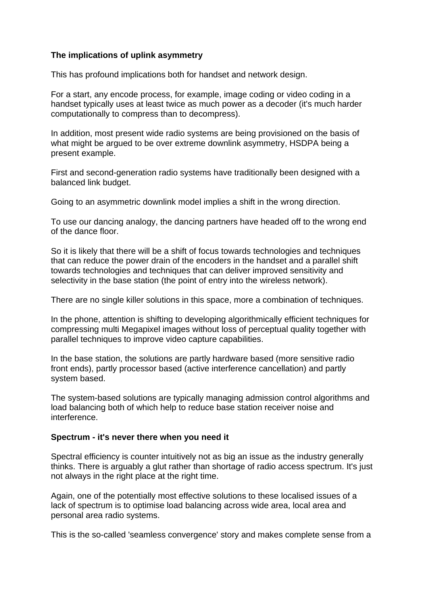### **The implications of uplink asymmetry**

This has profound implications both for handset and network design.

For a start, any encode process, for example, image coding or video coding in a handset typically uses at least twice as much power as a decoder (it's much harder computationally to compress than to decompress).

In addition, most present wide radio systems are being provisioned on the basis of what might be argued to be over extreme downlink asymmetry, HSDPA being a present example.

First and second-generation radio systems have traditionally been designed with a balanced link budget.

Going to an asymmetric downlink model implies a shift in the wrong direction.

To use our dancing analogy, the dancing partners have headed off to the wrong end of the dance floor.

So it is likely that there will be a shift of focus towards technologies and techniques that can reduce the power drain of the encoders in the handset and a parallel shift towards technologies and techniques that can deliver improved sensitivity and selectivity in the base station (the point of entry into the wireless network).

There are no single killer solutions in this space, more a combination of techniques.

In the phone, attention is shifting to developing algorithmically efficient techniques for compressing multi Megapixel images without loss of perceptual quality together with parallel techniques to improve video capture capabilities.

In the base station, the solutions are partly hardware based (more sensitive radio front ends), partly processor based (active interference cancellation) and partly system based.

The system-based solutions are typically managing admission control algorithms and load balancing both of which help to reduce base station receiver noise and interference.

### **Spectrum - it's never there when you need it**

Spectral efficiency is counter intuitively not as big an issue as the industry generally thinks. There is arguably a glut rather than shortage of radio access spectrum. It's just not always in the right place at the right time.

Again, one of the potentially most effective solutions to these localised issues of a lack of spectrum is to optimise load balancing across wide area, local area and personal area radio systems.

This is the so-called 'seamless convergence' story and makes complete sense from a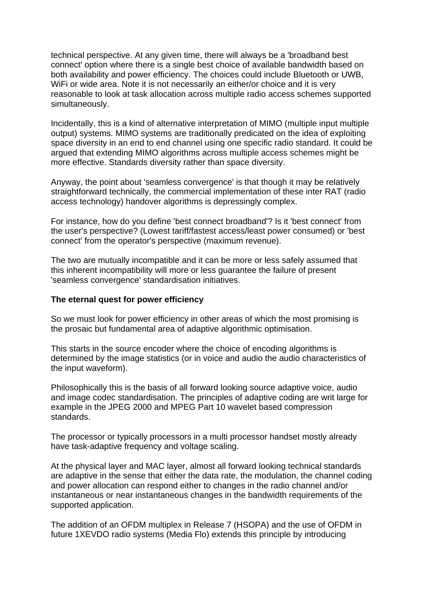technical perspective. At any given time, there will always be a 'broadband best connect' option where there is a single best choice of available bandwidth based on both availability and power efficiency. The choices could include Bluetooth or UWB, WiFi or wide area. Note it is not necessarily an either/or choice and it is very reasonable to look at task allocation across multiple radio access schemes supported simultaneously.

Incidentally, this is a kind of alternative interpretation of MIMO (multiple input multiple output) systems. MIMO systems are traditionally predicated on the idea of exploiting space diversity in an end to end channel using one specific radio standard. It could be argued that extending MIMO algorithms across multiple access schemes might be more effective. Standards diversity rather than space diversity.

Anyway, the point about 'seamless convergence' is that though it may be relatively straightforward technically, the commercial implementation of these inter RAT (radio access technology) handover algorithms is depressingly complex.

For instance, how do you define 'best connect broadband'? Is it 'best connect' from the user's perspective? (Lowest tariff/fastest access/least power consumed) or 'best connect' from the operator's perspective (maximum revenue).

The two are mutually incompatible and it can be more or less safely assumed that this inherent incompatibility will more or less guarantee the failure of present 'seamless convergence' standardisation initiatives.

#### **The eternal quest for power efficiency**

So we must look for power efficiency in other areas of which the most promising is the prosaic but fundamental area of adaptive algorithmic optimisation.

This starts in the source encoder where the choice of encoding algorithms is determined by the image statistics (or in voice and audio the audio characteristics of the input waveform).

Philosophically this is the basis of all forward looking source adaptive voice, audio and image codec standardisation. The principles of adaptive coding are writ large for example in the JPEG 2000 and MPEG Part 10 wavelet based compression standards.

The processor or typically processors in a multi processor handset mostly already have task-adaptive frequency and voltage scaling.

At the physical layer and MAC layer, almost all forward looking technical standards are adaptive in the sense that either the data rate, the modulation, the channel coding and power allocation can respond either to changes in the radio channel and/or instantaneous or near instantaneous changes in the bandwidth requirements of the supported application.

The addition of an OFDM multiplex in Release 7 (HSOPA) and the use of OFDM in future 1XEVDO radio systems (Media Flo) extends this principle by introducing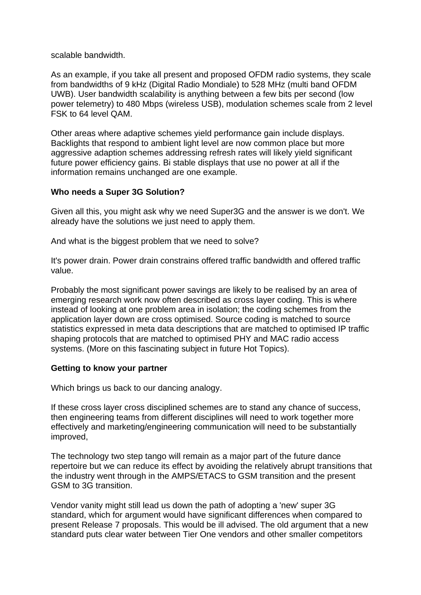scalable bandwidth.

As an example, if you take all present and proposed OFDM radio systems, they scale from bandwidths of 9 kHz (Digital Radio Mondiale) to 528 MHz (multi band OFDM UWB). User bandwidth scalability is anything between a few bits per second (low power telemetry) to 480 Mbps (wireless USB), modulation schemes scale from 2 level FSK to 64 level QAM.

Other areas where adaptive schemes yield performance gain include displays. Backlights that respond to ambient light level are now common place but more aggressive adaption schemes addressing refresh rates will likely yield significant future power efficiency gains. Bi stable displays that use no power at all if the information remains unchanged are one example.

## **Who needs a Super 3G Solution?**

Given all this, you might ask why we need Super3G and the answer is we don't. We already have the solutions we just need to apply them.

And what is the biggest problem that we need to solve?

It's power drain. Power drain constrains offered traffic bandwidth and offered traffic value.

Probably the most significant power savings are likely to be realised by an area of emerging research work now often described as cross layer coding. This is where instead of looking at one problem area in isolation; the coding schemes from the application layer down are cross optimised. Source coding is matched to source statistics expressed in meta data descriptions that are matched to optimised IP traffic shaping protocols that are matched to optimised PHY and MAC radio access systems. (More on this fascinating subject in future Hot Topics).

### **Getting to know your partner**

Which brings us back to our dancing analogy.

If these cross layer cross disciplined schemes are to stand any chance of success, then engineering teams from different disciplines will need to work together more effectively and marketing/engineering communication will need to be substantially improved,

The technology two step tango will remain as a major part of the future dance repertoire but we can reduce its effect by avoiding the relatively abrupt transitions that the industry went through in the AMPS/ETACS to GSM transition and the present GSM to 3G transition.

Vendor vanity might still lead us down the path of adopting a 'new' super 3G standard, which for argument would have significant differences when compared to present Release 7 proposals. This would be ill advised. The old argument that a new standard puts clear water between Tier One vendors and other smaller competitors